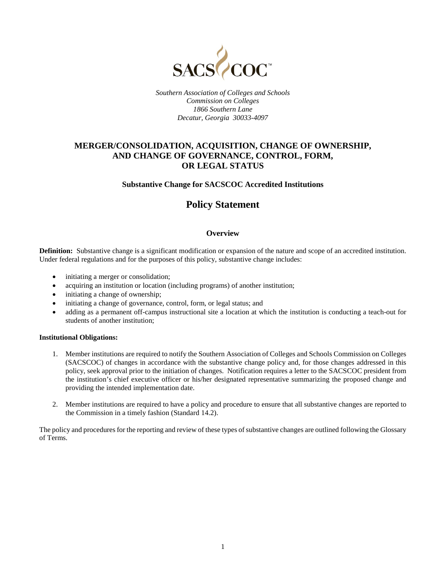

*Southern Association of Colleges and Schools Commission on Colleges 1866 Southern Lane Decatur, Georgia 30033-4097*

## **MERGER/CONSOLIDATION, ACQUISITION, CHANGE OF OWNERSHIP, AND CHANGE OF GOVERNANCE, CONTROL, FORM, OR LEGAL STATUS**

## **Substantive Change for SACSCOC Accredited Institutions**

# **Policy Statement**

## **Overview**

**Definition:** Substantive change is a significant modification or expansion of the nature and scope of an accredited institution. Under federal regulations and for the purposes of this policy, substantive change includes:

- initiating a merger or consolidation;
- acquiring an institution or location (including programs) of another institution;
- initiating a change of ownership;
- initiating a change of governance, control, form, or legal status; and
- adding as a permanent off-campus instructional site a location at which the institution is conducting a teach-out for students of another institution;

#### **Institutional Obligations:**

- 1. Member institutions are required to notify the Southern Association of Colleges and Schools Commission on Colleges (SACSCOC) of changes in accordance with the substantive change policy and, for those changes addressed in this policy, seek approval prior to the initiation of changes. Notification requires a letter to the SACSCOC president from the institution's chief executive officer or his/her designated representative summarizing the proposed change and providing the intended implementation date.
- 2. Member institutions are required to have a policy and procedure to ensure that all substantive changes are reported to the Commission in a timely fashion (Standard 14.2).

The policy and procedures for the reporting and review of these types of substantive changes are outlined following the Glossary of Terms.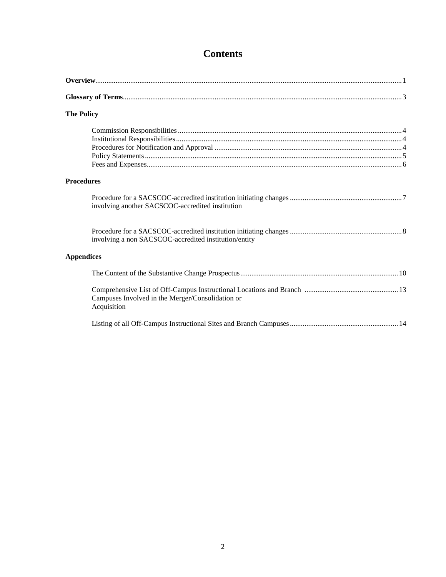# **Contents**

| <b>The Policy</b>                                               |  |
|-----------------------------------------------------------------|--|
|                                                                 |  |
| <b>Procedures</b>                                               |  |
| involving another SACSCOC-accredited institution                |  |
| involving a non SACSCOC-accredited institution/entity           |  |
| <b>Appendices</b>                                               |  |
|                                                                 |  |
| Campuses Involved in the Merger/Consolidation or<br>Acquisition |  |
|                                                                 |  |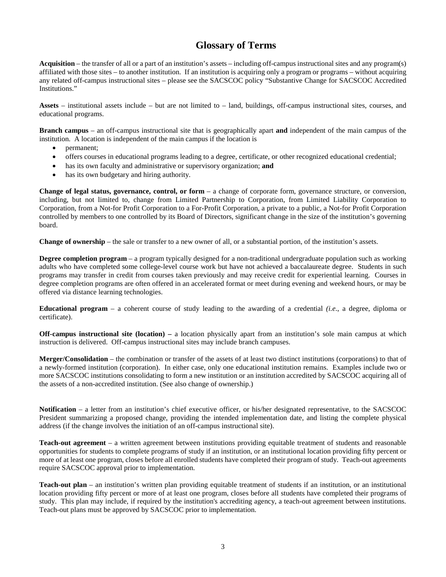# **Glossary of Terms**

**Acquisition** – the transfer of all or a part of an institution's assets – including off-campus instructional sites and any program(s) affiliated with those sites – to another institution. If an institution is acquiring only a program or programs – without acquiring any related off-campus instructional sites – please see the SACSCOC policy "Substantive Change for SACSCOC Accredited Institutions."

**Assets** – institutional assets include – but are not limited to – land, buildings, off-campus instructional sites, courses, and educational programs.

**Branch campus** – an off-campus instructional site that is geographically apart **and** independent of the main campus of the institution. A location is independent of the main campus if the location is

- permanent;
- offers courses in educational programs leading to a degree, certificate, or other recognized educational credential;
- has its own faculty and administrative or supervisory organization; **and**
- has its own budgetary and hiring authority.

**Change of legal status, governance, control, or form** – a change of corporate form, governance structure, or conversion, including, but not limited to, change from Limited Partnership to Corporation, from Limited Liability Corporation to Corporation, from a Not-for Profit Corporation to a For-Profit Corporation, a private to a public, a Not-for Profit Corporation controlled by members to one controlled by its Board of Directors, significant change in the size of the institution's governing board.

**Change of ownership** – the sale or transfer to a new owner of all, or a substantial portion, of the institution's assets.

**Degree completion program** – a program typically designed for a non-traditional undergraduate population such as working adults who have completed some college-level course work but have not achieved a baccalaureate degree. Students in such programs may transfer in credit from courses taken previously and may receive credit for experiential learning. Courses in degree completion programs are often offered in an accelerated format or meet during evening and weekend hours, or may be offered via distance learning technologies.

**Educational program** – a coherent course of study leading to the awarding of a credential *(i.e*., a degree, diploma or certificate).

**Off-campus instructional site (location) –** a location physically apart from an institution's sole main campus at which instruction is delivered. Off-campus instructional sites may include branch campuses.

**Merger/Consolidation** – the combination or transfer of the assets of at least two distinct institutions (corporations) to that of a newly-formed institution (corporation). In either case, only one educational institution remains. Examples include two or more SACSCOC institutions consolidating to form a new institution or an institution accredited by SACSCOC acquiring all of the assets of a non-accredited institution. (See also change of ownership.)

**Notification** – a letter from an institution's chief executive officer, or his/her designated representative, to the SACSCOC President summarizing a proposed change, providing the intended implementation date, and listing the complete physical address (if the change involves the initiation of an off-campus instructional site).

**Teach-out agreement** – a written agreement between institutions providing equitable treatment of students and reasonable opportunities for students to complete programs of study if an institution, or an institutional location providing fifty percent or more of at least one program, closes before all enrolled students have completed their program of study. Teach-out agreements require SACSCOC approval prior to implementation.

**Teach-out plan** – an institution's written plan providing equitable treatment of students if an institution, or an institutional location providing fifty percent or more of at least one program, closes before all students have completed their programs of study. This plan may include, if required by the institution's accrediting agency, a teach-out agreement between institutions. Teach-out plans must be approved by SACSCOC prior to implementation.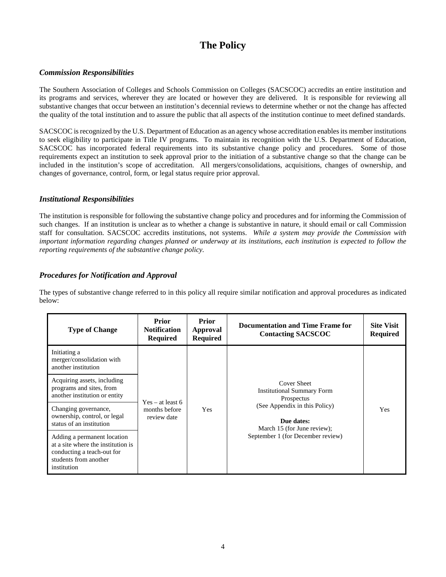# **The Policy**

## *Commission Responsibilities*

The Southern Association of Colleges and Schools Commission on Colleges (SACSCOC) accredits an entire institution and its programs and services, wherever they are located or however they are delivered. It is responsible for reviewing all substantive changes that occur between an institution's decennial reviews to determine whether or not the change has affected the quality of the total institution and to assure the public that all aspects of the institution continue to meet defined standards.

SACSCOC is recognized by the U.S. Department of Education as an agency whose accreditation enables its member institutions to seek eligibility to participate in Title IV programs. To maintain its recognition with the U.S. Department of Education, SACSCOC has incorporated federal requirements into its substantive change policy and procedures. Some of those requirements expect an institution to seek approval prior to the initiation of a substantive change so that the change can be included in the institution's scope of accreditation. All mergers/consolidations, acquisitions, changes of ownership, and changes of governance, control, form, or legal status require prior approval.

## *Institutional Responsibilities*

The institution is responsible for following the substantive change policy and procedures and for informing the Commission of such changes. If an institution is unclear as to whether a change is substantive in nature, it should email or call Commission staff for consultation. SACSCOC accredits institutions, not systems. *While a system may provide the Commission with important information regarding changes planned or underway at its institutions, each institution is expected to follow the reporting requirements of the substantive change policy.* 

## *Procedures for Notification and Approval*

The types of substantive change referred to in this policy all require similar notification and approval procedures as indicated below:

| <b>Type of Change</b>                                                                                                                   | <b>Prior</b><br><b>Notification</b><br><b>Required</b> | <b>Prior</b><br>Approval<br><b>Required</b> | Documentation and Time Frame for<br><b>Contacting SACSCOC</b>              | <b>Site Visit</b><br><b>Required</b> |
|-----------------------------------------------------------------------------------------------------------------------------------------|--------------------------------------------------------|---------------------------------------------|----------------------------------------------------------------------------|--------------------------------------|
| Initiating a<br>merger/consolidation with<br>another institution                                                                        |                                                        |                                             |                                                                            |                                      |
| Acquiring assets, including<br>programs and sites, from<br>another institution or entity                                                | $Yes - at least 6$                                     |                                             | Cover Sheet<br><b>Institutional Summary Form</b><br>Prospectus             |                                      |
| Changing governance,<br>ownership, control, or legal<br>status of an institution                                                        | months before<br>review date                           | Yes                                         | (See Appendix in this Policy)<br>Due dates:<br>March 15 (for June review); | Yes                                  |
| Adding a permanent location<br>at a site where the institution is<br>conducting a teach-out for<br>students from another<br>institution |                                                        |                                             | September 1 (for December review)                                          |                                      |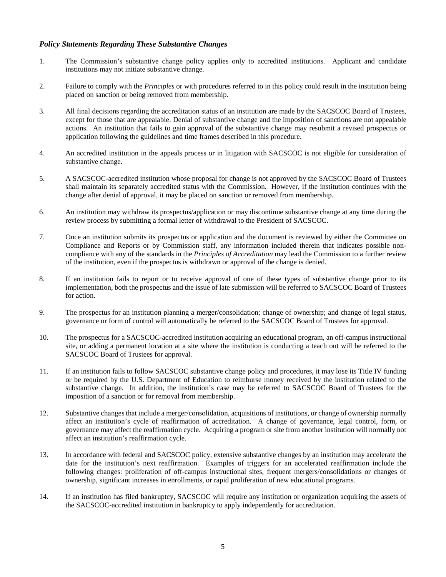## *Policy Statements Regarding These Substantive Changes*

- 1. The Commission's substantive change policy applies only to accredited institutions. Applicant and candidate institutions may not initiate substantive change.
- 2. Failure to comply with the *Principles* or with procedures referred to in this policy could result in the institution being placed on sanction or being removed from membership.
- 3. All final decisions regarding the accreditation status of an institution are made by the SACSCOC Board of Trustees, except for those that are appealable. Denial of substantive change and the imposition of sanctions are not appealable actions. An institution that fails to gain approval of the substantive change may resubmit a revised prospectus or application following the guidelines and time frames described in this procedure.
- 4. An accredited institution in the appeals process or in litigation with SACSCOC is not eligible for consideration of substantive change.
- 5. A SACSCOC-accredited institution whose proposal for change is not approved by the SACSCOC Board of Trustees shall maintain its separately accredited status with the Commission. However, if the institution continues with the change after denial of approval, it may be placed on sanction or removed from membership.
- 6. An institution may withdraw its prospectus/application or may discontinue substantive change at any time during the review process by submitting a formal letter of withdrawal to the President of SACSCOC.
- 7. Once an institution submits its prospectus or application and the document is reviewed by either the Committee on Compliance and Reports or by Commission staff, any information included therein that indicates possible noncompliance with any of the standards in the *Principles of Accreditation* may lead the Commission to a further review of the institution, even if the prospectus is withdrawn or approval of the change is denied.
- 8. If an institution fails to report or to receive approval of one of these types of substantive change prior to its implementation, both the prospectus and the issue of late submission will be referred to SACSCOC Board of Trustees for action.
- 9. The prospectus for an institution planning a merger/consolidation; change of ownership; and change of legal status, governance or form of control will automatically be referred to the SACSCOC Board of Trustees for approval.
- 10. The prospectus for a SACSCOC-accredited institution acquiring an educational program, an off-campus instructional site, or adding a permanent location at a site where the institution is conducting a teach out will be referred to the SACSCOC Board of Trustees for approval.
- 11. If an institution fails to follow SACSCOC substantive change policy and procedures, it may lose its Title IV funding or be required by the U.S. Department of Education to reimburse money received by the institution related to the substantive change. In addition, the institution's case may be referred to SACSCOC Board of Trustees for the imposition of a sanction or for removal from membership.
- 12. Substantive changes that include a merger/consolidation, acquisitions of institutions, or change of ownership normally affect an institution's cycle of reaffirmation of accreditation. A change of governance, legal control, form, or governance may affect the reaffirmation cycle. Acquiring a program or site from another institution will normally not affect an institution's reaffirmation cycle.
- 13. In accordance with federal and SACSCOC policy, extensive substantive changes by an institution may accelerate the date for the institution's next reaffirmation. Examples of triggers for an accelerated reaffirmation include the following changes: proliferation of off-campus instructional sites, frequent mergers/consolidations or changes of ownership, significant increases in enrollments, or rapid proliferation of new educational programs.
- 14. If an institution has filed bankruptcy, SACSCOC will require any institution or organization acquiring the assets of the SACSCOC-accredited institution in bankruptcy to apply independently for accreditation.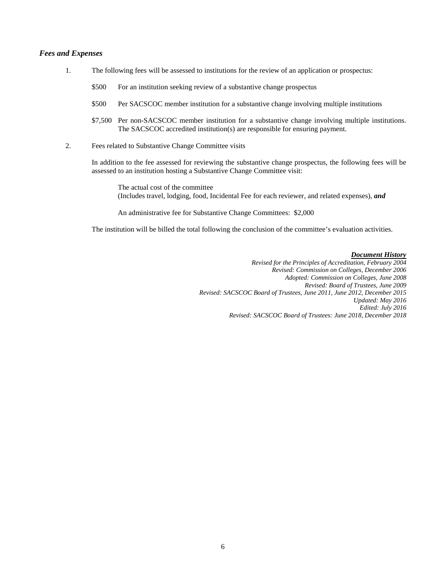#### *Fees and Expenses*

- 1. The following fees will be assessed to institutions for the review of an application or prospectus:
	- \$500 For an institution seeking review of a substantive change prospectus
	- \$500 Per SACSCOC member institution for a substantive change involving multiple institutions
	- \$7,500 Per non-SACSCOC member institution for a substantive change involving multiple institutions. The SACSCOC accredited institution(s) are responsible for ensuring payment.
- 2. Fees related to Substantive Change Committee visits

In addition to the fee assessed for reviewing the substantive change prospectus, the following fees will be assessed to an institution hosting a Substantive Change Committee visit:

The actual cost of the committee (Includes travel, lodging, food, Incidental Fee for each reviewer, and related expenses), *and*

An administrative fee for Substantive Change Committees: \$2,000

The institution will be billed the total following the conclusion of the committee's evaluation activities.

#### *Document History*

*Revised for the Principles of Accreditation, February 2004 Revised: Commission on Colleges, December 2006 Adopted: Commission on Colleges, June 2008 Revised: Board of Trustees, June 2009 Revised: SACSCOC Board of Trustees, June 2011, June 2012, December 2015 Updated: May 2016 Edited: July 2016 Revised: SACSCOC Board of Trustees: June 2018, December 2018*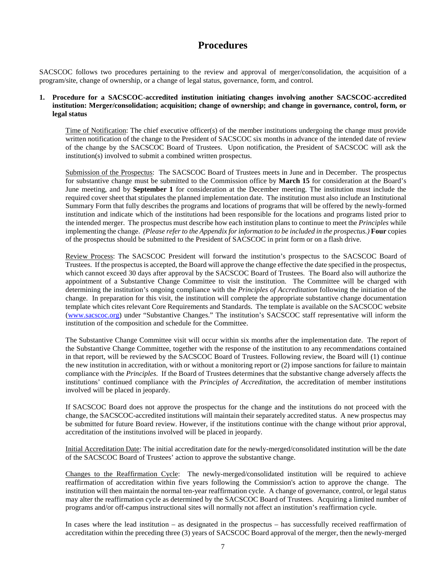# **Procedures**

SACSCOC follows two procedures pertaining to the review and approval of merger/consolidation, the acquisition of a program/site, change of ownership, or a change of legal status, governance, form, and control.

### **1. Procedure for a SACSCOC-accredited institution initiating changes involving another SACSCOC-accredited institution: Merger/consolidation; acquisition; change of ownership; and change in governance, control, form, or legal status**

Time of Notification: The chief executive officer(s) of the member institutions undergoing the change must provide written notification of the change to the President of SACSCOC six months in advance of the intended date of review of the change by the SACSCOC Board of Trustees. Upon notification, the President of SACSCOC will ask the institution(s) involved to submit a combined written prospectus.

Submission of the Prospectus: The SACSCOC Board of Trustees meets in June and in December. The prospectus for substantive change must be submitted to the Commission office by **March 15** for consideration at the Board's June meeting, and by **September 1** for consideration at the December meeting. The institution must include the required cover sheet that stipulates the planned implementation date. The institution must also include an Institutional Summary Form that fully describes the programs and locations of programs that will be offered by the newly-formed institution and indicate which of the institutions had been responsible for the locations and programs listed prior to the intended merger. The prospectus must describe how each institution plans to continue to meet the *Principles* while implementing the change. *(Please refer to the Appendix for information to be included in the prospectus.)* **Four** copies of the prospectus should be submitted to the President of SACSCOC in print form or on a flash drive.

Review Process: The SACSCOC President will forward the institution's prospectus to the SACSCOC Board of Trustees. If the prospectus is accepted, the Board will approve the change effective the date specified in the prospectus, which cannot exceed 30 days after approval by the SACSCOC Board of Trustees. The Board also will authorize the appointment of a Substantive Change Committee to visit the institution. The Committee will be charged with determining the institution's ongoing compliance with the *Principles of Accreditation* following the initiation of the change. In preparation for this visit, the institution will complete the appropriate substantive change documentation template which cites relevant Core Requirements and Standards. The template is available on the SACSCOC website [\(www.sacscoc.org\)](http://www.sacscoc.org/) under "Substantive Changes." The institution's SACSCOC staff representative will inform the institution of the composition and schedule for the Committee.

The Substantive Change Committee visit will occur within six months after the implementation date. The report of the Substantive Change Committee, together with the response of the institution to any recommendations contained in that report, will be reviewed by the SACSCOC Board of Trustees. Following review, the Board will (1) continue the new institution in accreditation, with or without a monitoring report or (2) impose sanctions for failure to maintain compliance with the *Principles*. If the Board of Trustees determines that the substantive change adversely affects the institutions' continued compliance with the *Principles of Accreditation*, the accreditation of member institutions involved will be placed in jeopardy.

If SACSCOC Board does not approve the prospectus for the change and the institutions do not proceed with the change, the SACSCOC-accredited institutions will maintain their separately accredited status. A new prospectus may be submitted for future Board review. However, if the institutions continue with the change without prior approval, accreditation of the institutions involved will be placed in jeopardy.

Initial Accreditation Date: The initial accreditation date for the newly-merged/consolidated institution will be the date of the SACSCOC Board of Trustees' action to approve the substantive change.

Changes to the Reaffirmation Cycle: The newly-merged/consolidated institution will be required to achieve reaffirmation of accreditation within five years following the Commission's action to approve the change. The institution will then maintain the normal ten-year reaffirmation cycle. A change of governance, control, or legal status may alter the reaffirmation cycle as determined by the SACSCOC Board of Trustees. Acquiring a limited number of programs and/or off-campus instructional sites will normally not affect an institution's reaffirmation cycle.

In cases where the lead institution – as designated in the prospectus – has successfully received reaffirmation of accreditation within the preceding three (3) years of SACSCOC Board approval of the merger, then the newly-merged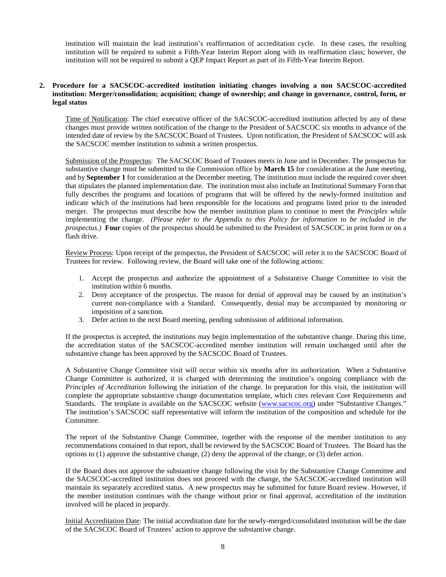institution will maintain the lead institution's reaffirmation of accreditation cycle. In these cases, the resulting institution will be required to submit a Fifth-Year Interim Report along with its reaffirmation class; however, the institution will not be required to submit a QEP Impact Report as part of its Fifth-Year Interim Report.

## **2. Procedure for a SACSCOC-accredited institution initiating changes involving a non SACSCOC-accredited institution: Merger/consolidation; acquisition; change of ownership; and change in governance, control, form, or legal status**

Time of Notification: The chief executive officer of the SACSCOC-accredited institution affected by any of these changes must provide written notification of the change to the President of SACSCOC six months in advance of the intended date of review by the SACSCOC Board of Trustees. Upon notification, the President of SACSCOC will ask the SACSCOC member institution to submit a written prospectus.

Submission of the Prospectus: The SACSCOC Board of Trustees meets in June and in December. The prospectus for substantive change must be submitted to the Commission office by **March 15** for consideration at the June meeting, and by **September 1** for consideration at the December meeting. The institution must include the required cover sheet that stipulates the planned implementation date. The institution must also include an Institutional Summary Form that fully describes the programs and locations of programs that will be offered by the newly-formed institution and indicate which of the institutions had been responsible for the locations and programs listed prior to the intended merger. The prospectus must describe how the member institution plans to continue to meet the *Principles* while implementing the change. *(Please refer to the Appendix to this Policy for information to be included in the prospectus.)* **Four** copies of the prospectus should be submitted to the President of SACSCOC in print form or on a flash drive.

Review Process: Upon receipt of the prospectus, the President of SACSCOC will refer it to the SACSCOC Board of Trustees for review. Following review, the Board will take one of the following actions:

- 1. Accept the prospectus and authorize the appointment of a Substantive Change Committee to visit the institution within 6 months.
- 2. Deny acceptance of the prospectus. The reason for denial of approval may be caused by an institution's current non-compliance with a Standard. Consequently, denial may be accompanied by monitoring or imposition of a sanction.
- 3. Defer action to the next Board meeting, pending submission of additional information.

If the prospectus is accepted, the institutions may begin implementation of the substantive change. During this time, the accreditation status of the SACSCOC-accredited member institution will remain unchanged until after the substantive change has been approved by the SACSCOC Board of Trustees.

A Substantive Change Committee visit will occur within six months after its authorization. When a Substantive Change Committee is authorized, it is charged with determining the institution's ongoing compliance with the *Principles of Accreditation* following the initiation of the change. In preparation for this visit, the institution will complete the appropriate substantive change documentation template, which cites relevant Core Requirements and Standards. The template is available on the SACSCOC website [\(www.sacscoc.org\)](http://www.sacscoc.org/) under "Substantive Changes." The institution's SACSCOC staff representative will inform the institution of the composition and schedule for the Committee.

The report of the Substantive Change Committee, together with the response of the member institution to any recommendations contained in that report, shall be reviewed by the SACSCOC Board of Trustees. The Board has the options to (1) approve the substantive change, (2) deny the approval of the change, or (3) defer action.

If the Board does not approve the substantive change following the visit by the Substantive Change Committee and the SACSCOC-accredited institution does not proceed with the change, the SACSCOC-accredited institution will maintain its separately accredited status. A new prospectus may be submitted for future Board review. However, if the member institution continues with the change without prior or final approval, accreditation of the institution involved will be placed in jeopardy.

Initial Accreditation Date: The initial accreditation date for the newly-merged/consolidated institution will be the date of the SACSCOC Board of Trustees' action to approve the substantive change.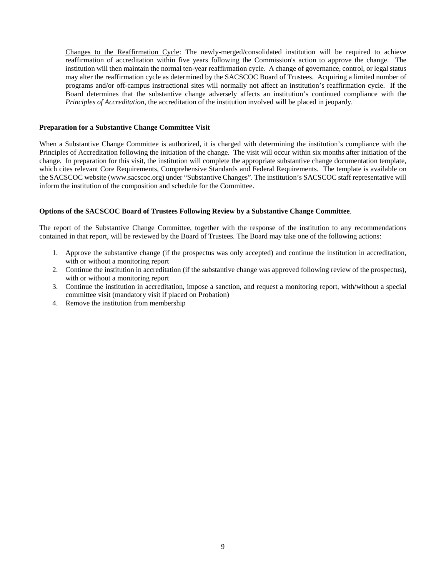Changes to the Reaffirmation Cycle: The newly-merged/consolidated institution will be required to achieve reaffirmation of accreditation within five years following the Commission's action to approve the change. The institution will then maintain the normal ten-year reaffirmation cycle. A change of governance, control, or legal status may alter the reaffirmation cycle as determined by the SACSCOC Board of Trustees. Acquiring a limited number of programs and/or off-campus instructional sites will normally not affect an institution's reaffirmation cycle. If the Board determines that the substantive change adversely affects an institution's continued compliance with the *Principles of Accreditation*, the accreditation of the institution involved will be placed in jeopardy.

#### **Preparation for a Substantive Change Committee Visit**

When a Substantive Change Committee is authorized, it is charged with determining the institution's compliance with the Principles of Accreditation following the initiation of the change. The visit will occur within six months after initiation of the change. In preparation for this visit, the institution will complete the appropriate substantive change documentation template, which cites relevant Core Requirements, Comprehensive Standards and Federal Requirements. The template is available on the SACSCOC website (www.sacscoc.org) under "Substantive Changes". The institution's SACSCOC staff representative will inform the institution of the composition and schedule for the Committee.

#### **Options of the SACSCOC Board of Trustees Following Review by a Substantive Change Committee**.

The report of the Substantive Change Committee, together with the response of the institution to any recommendations contained in that report, will be reviewed by the Board of Trustees. The Board may take one of the following actions:

- 1. Approve the substantive change (if the prospectus was only accepted) and continue the institution in accreditation, with or without a monitoring report
- 2. Continue the institution in accreditation (if the substantive change was approved following review of the prospectus), with or without a monitoring report
- 3. Continue the institution in accreditation, impose a sanction, and request a monitoring report, with/without a special committee visit (mandatory visit if placed on Probation)
- 4. Remove the institution from membership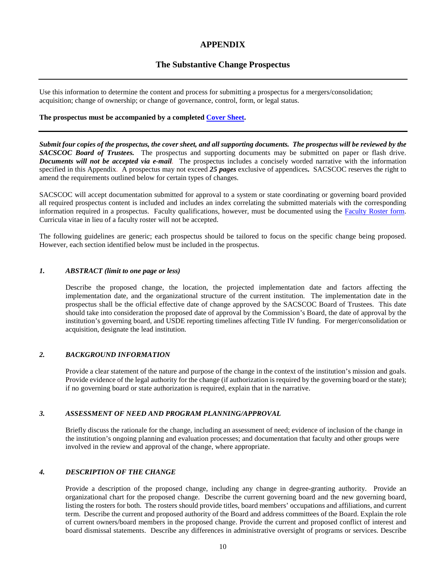## **APPENDIX**

## **The Substantive Change Prospectus**

Use this information to determine the content and process for submitting a prospectus for a mergers/consolidation; acquisition; change of ownership; or change of governance, control, form, or legal status.

#### **The prospectus must be accompanied by a completed [Cover Sheet.](http://www.sacscoc.org/forms/principle/subchange/Substantive_Change_Cover_%20Sheet.pdf)**

*Submit four copies of the prospectus, the cover sheet, and all supporting documents. The prospectus will be reviewed by the SACSCOC Board of Trustees.* The prospectus and supporting documents may be submitted on paper or flash drive. *Documents will not be accepted via e-mail.* The prospectus includes a concisely worded narrative with the information specified in this Appendix. A prospectus may not exceed *25 pages* exclusive of appendices**.** SACSCOC reserves the right to amend the requirements outlined below for certain types of changes.

SACSCOC will accept documentation submitted for approval to a system or state coordinating or governing board provided all required prospectus content is included and includes an index correlating the submitted materials with the corresponding information required in a prospectus. Faculty qualifications, however, must be documented using the [Faculty Roster form.](http://www.sacscoc.org/forms/principle/FacultyRosterForm.doc)  Curricula vitae in lieu of a faculty roster will not be accepted.

The following guidelines are generic; each prospectus should be tailored to focus on the specific change being proposed. However, each section identified below must be included in the prospectus.

#### *1. ABSTRACT (limit to one page or less)*

Describe the proposed change, the location, the projected implementation date and factors affecting the implementation date, and the organizational structure of the current institution. The implementation date in the prospectus shall be the official effective date of change approved by the SACSCOC Board of Trustees. This date should take into consideration the proposed date of approval by the Commission's Board, the date of approval by the institution's governing board, and USDE reporting timelines affecting Title IV funding. For merger/consolidation or acquisition, designate the lead institution.

#### *2. BACKGROUND INFORMATION*

Provide a clear statement of the nature and purpose of the change in the context of the institution's mission and goals. Provide evidence of the legal authority for the change (if authorization is required by the governing board or the state); if no governing board or state authorization is required, explain that in the narrative.

## *3. ASSESSMENT OF NEED AND PROGRAM PLANNING/APPROVAL*

Briefly discuss the rationale for the change, including an assessment of need; evidence of inclusion of the change in the institution's ongoing planning and evaluation processes; and documentation that faculty and other groups were involved in the review and approval of the change, where appropriate.

#### *4. DESCRIPTION OF THE CHANGE*

Provide a description of the proposed change, including any change in degree-granting authority. Provide an organizational chart for the proposed change. Describe the current governing board and the new governing board, listing the rosters for both. The rosters should provide titles, board members' occupations and affiliations, and current term. Describe the current and proposed authority of the Board and address committees of the Board. Explain the role of current owners/board members in the proposed change. Provide the current and proposed conflict of interest and board dismissal statements. Describe any differences in administrative oversight of programs or services. Describe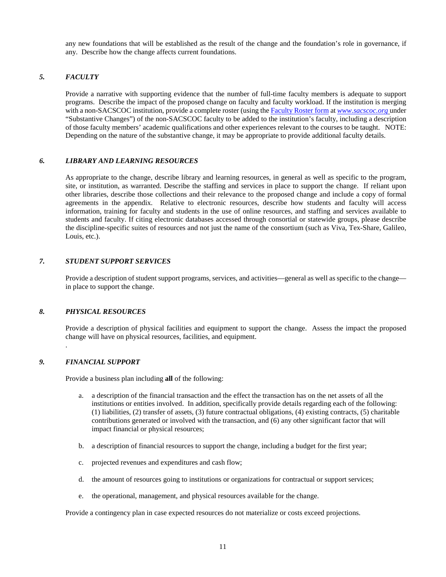any new foundations that will be established as the result of the change and the foundation's role in governance, if any. Describe how the change affects current foundations.

### *5. FACULTY*

Provide a narrative with supporting evidence that the number of full-time faculty members is adequate to support programs. Describe the impact of the proposed change on faculty and faculty workload. If the institution is merging with a non-SACSCOC institution, provide a complete roster (using the [Faculty Roster form](http://www.sacscoc.org/forms/principle/FacultyRosterForm.doc) at *[www.sacscoc.org](http://www.sacscoc.org/)* under "Substantive Changes") of the non-SACSCOC faculty to be added to the institution's faculty, including a description of those faculty members' academic qualifications and other experiences relevant to the courses to be taught. NOTE: Depending on the nature of the substantive change, it may be appropriate to provide additional faculty details.

#### *6. LIBRARY AND LEARNING RESOURCES*

As appropriate to the change, describe library and learning resources, in general as well as specific to the program, site, or institution, as warranted. Describe the staffing and services in place to support the change. If reliant upon other libraries, describe those collections and their relevance to the proposed change and include a copy of formal agreements in the appendix. Relative to electronic resources, describe how students and faculty will access information, training for faculty and students in the use of online resources, and staffing and services available to students and faculty. If citing electronic databases accessed through consortial or statewide groups, please describe the discipline-specific suites of resources and not just the name of the consortium (such as Viva, Tex-Share, Galileo, Louis, etc.).

## *7. STUDENT SUPPORT SERVICES*

Provide a description of student support programs, services, and activities—general as well as specific to the change in place to support the change.

#### *8. PHYSICAL RESOURCES*

Provide a description of physical facilities and equipment to support the change. Assess the impact the proposed change will have on physical resources, facilities, and equipment. .

#### *9. FINANCIAL SUPPORT*

Provide a business plan including **all** of the following:

- a. a description of the financial transaction and the effect the transaction has on the net assets of all the institutions or entities involved. In addition, specifically provide details regarding each of the following: (1) liabilities, (2) transfer of assets, (3) future contractual obligations, (4) existing contracts, (5) charitable contributions generated or involved with the transaction, and (6) any other significant factor that will impact financial or physical resources;
- b. a description of financial resources to support the change, including a budget for the first year;
- c. projected revenues and expenditures and cash flow;
- d. the amount of resources going to institutions or organizations for contractual or support services;
- e. the operational, management, and physical resources available for the change.

Provide a contingency plan in case expected resources do not materialize or costs exceed projections.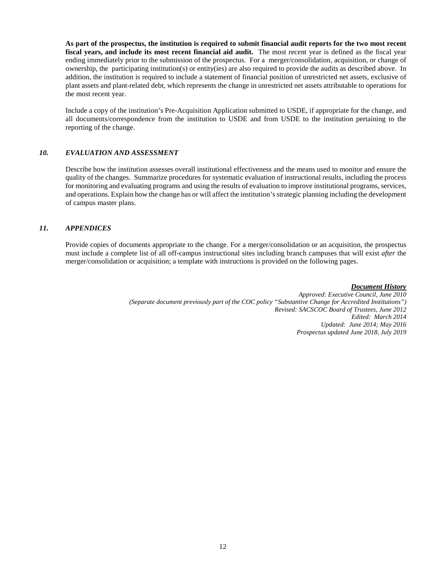**As part of the prospectus, the institution is required to submit financial audit reports for the two most recent fiscal years, and include its most recent financial aid audit.** The most recent year is defined as the fiscal year ending immediately prior to the submission of the prospectus. For a merger/consolidation, acquisition, or change of ownership, the participating institution(s) or entity(ies) are also required to provide the audits as described above. In addition, the institution is required to include a statement of financial position of unrestricted net assets, exclusive of plant assets and plant-related debt, which represents the change in unrestricted net assets attributable to operations for the most recent year.

Include a copy of the institution's Pre-Acquisition Application submitted to USDE, if appropriate for the change, and all documents/correspondence from the institution to USDE and from USDE to the institution pertaining to the reporting of the change.

## *10. EVALUATION AND ASSESSMENT*

Describe how the institution assesses overall institutional effectiveness and the means used to monitor and ensure the quality of the changes. Summarize procedures for systematic evaluation of instructional results, including the process for monitoring and evaluating programs and using the results of evaluation to improve institutional programs, services, and operations. Explain how the change has or will affect the institution's strategic planning including the development of campus master plans.

## *11. APPENDICES*

Provide copies of documents appropriate to the change. For a merger/consolidation or an acquisition, the prospectus must include a complete list of all off-campus instructional sites including branch campuses that will exist *after* the merger/consolidation or acquisition; a template with instructions is provided on the following pages.

*Document History*

*Approved: Executive Council, June 2010 (Separate document previously part of the COC policy "Substantive Change for Accredited Institutions") Revised: SACSCOC Board of Trustees, June 2012 Edited: March 2014 Updated: June 2014; May 2016 Prospectus updated June 2018, July 2019*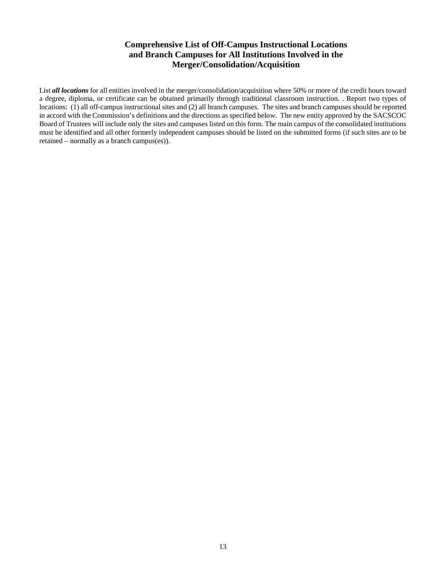## **Comprehensive List of Off-Campus Instructional Locations and Branch Campuses for All Institutions Involved in the Merger/Consolidation/Acquisition**

List **all locations** for all entities involved in the merger/consolidation/acquisition where 50% or more of the credit hours toward a degree, diploma, or certificate can be obtained primarily through traditional classroom instruction. . Report two types of locations: (1) all off-campus instructional sites and (2) all branch campuses. The sites and branch campuses should be reported in accord with the Commission's definitions and the directions as specified below. The new entity approved by the SACSCOC Board of Trustees will include only the sites and campuses listed on this form. The main campus of the consolidated institutions must be identified and all other formerly independent campuses should be listed on the submitted forms (if such sites are to be retained – normally as a branch campus(es)).